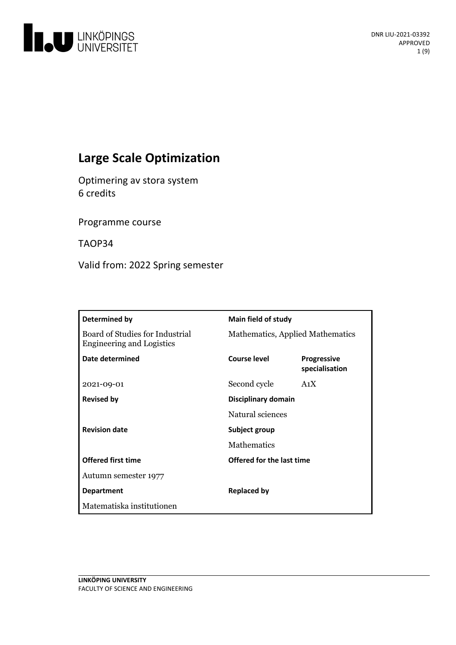

# **Large Scale Optimization**

Optimering av stora system 6 credits

Programme course

TAOP34

Valid from: 2022 Spring semester

| Determined by                                                       | <b>Main field of study</b>       |                                      |
|---------------------------------------------------------------------|----------------------------------|--------------------------------------|
| Board of Studies for Industrial<br><b>Engineering and Logistics</b> | Mathematics, Applied Mathematics |                                      |
| Date determined                                                     | Course level                     | <b>Progressive</b><br>specialisation |
| 2021-09-01                                                          | Second cycle                     | A <sub>1</sub> X                     |
| <b>Revised by</b>                                                   | Disciplinary domain              |                                      |
|                                                                     | Natural sciences                 |                                      |
| <b>Revision date</b>                                                | Subject group                    |                                      |
|                                                                     | Mathematics                      |                                      |
| <b>Offered first time</b>                                           | Offered for the last time        |                                      |
| Autumn semester 1977                                                |                                  |                                      |
| <b>Department</b>                                                   | <b>Replaced by</b>               |                                      |
| Matematiska institutionen                                           |                                  |                                      |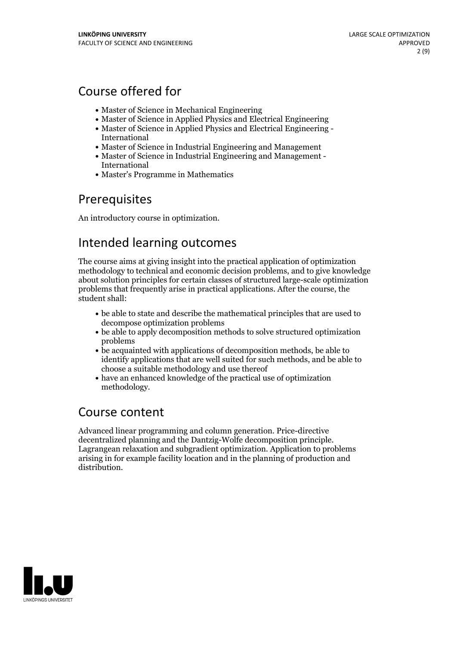# Course offered for

- Master of Science in Mechanical Engineering
- Master of Science in Applied Physics and Electrical Engineering
- Master of Science in Applied Physics and Electrical Engineering International
- Master of Science in Industrial Engineering and Management
- Master of Science in Industrial Engineering and Management International
- Master's Programme in Mathematics

## Prerequisites

An introductory course in optimization.

# Intended learning outcomes

The course aims at giving insight into the practical application of optimization methodology to technical and economic decision problems, and to give knowledge about solution principles for certain classes of structured large-scale optimization problems that frequently arise in practical applications. After the course, the student shall:

- be able to state and describe the mathematical principles that are used to decompose optimization problems
- be able to apply decomposition methods to solve structured optimization problems
- be acquainted with applications of decomposition methods, be able to identify applications that are well suited for such methods, and be able to choose a suitable methodology and use thereof
- have an enhanced knowledge of the practical use of optimization methodology.

## Course content

Advanced linear programming and column generation. Price-directive decentralized planning and the Dantzig-Wolfe decomposition principle. Lagrangean relaxation and subgradient optimization. Application to problems arising in for example facility location and in the planning of production and distribution.

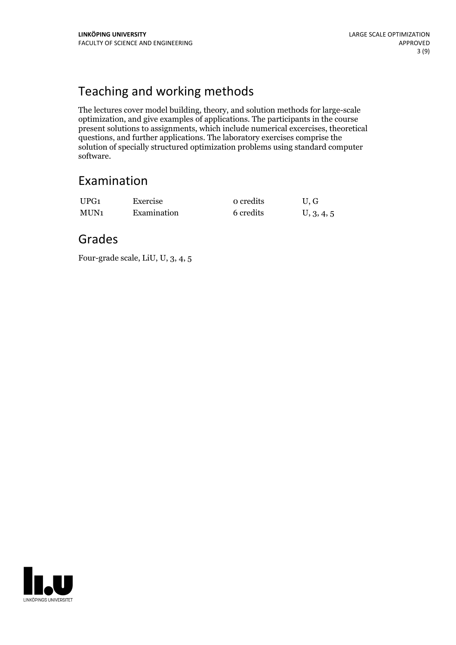# Teaching and working methods

The lectures cover model building, theory, and solution methods for large-scale optimization, and give examples of applications. The participants in the course present solutions to assignments, which include numerical excercises, theoretical questions, and further applications. The laboratory exercises comprise the solution of specially structured optimization problems using standard computer software.

## Examination

| UPG1 | Exercise    | o credits | U.G        |
|------|-------------|-----------|------------|
| MUN1 | Examination | 6 credits | U, 3, 4, 5 |

## Grades

Four-grade scale, LiU, U, 3, 4, 5

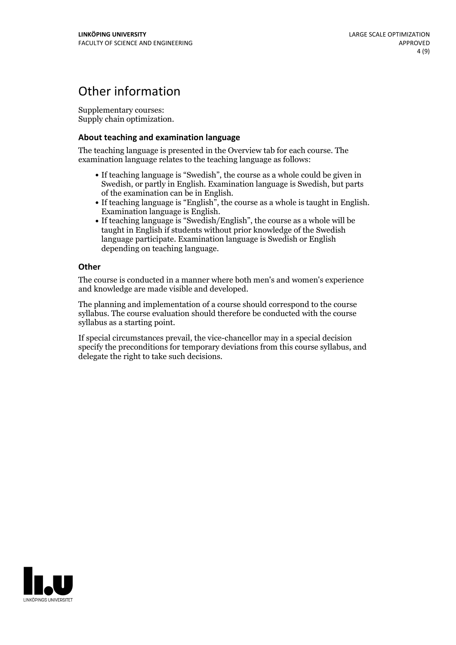# Other information

Supplementary courses: Supply chain optimization.

### **About teaching and examination language**

The teaching language is presented in the Overview tab for each course. The examination language relates to the teaching language as follows:

- If teaching language is "Swedish", the course as a whole could be given in Swedish, or partly in English. Examination language is Swedish, but parts
- of the examination can be in English. If teaching language is "English", the course as <sup>a</sup> whole is taught in English. Examination language is English. If teaching language is "Swedish/English", the course as <sup>a</sup> whole will be
- taught in English if students without prior knowledge of the Swedish language participate. Examination language is Swedish or English depending on teaching language.

### **Other**

The course is conducted in a manner where both men's and women's experience and knowledge are made visible and developed.

The planning and implementation of a course should correspond to the course syllabus. The course evaluation should therefore be conducted with the course syllabus as a starting point.

If special circumstances prevail, the vice-chancellor may in a special decision specify the preconditions for temporary deviations from this course syllabus, and delegate the right to take such decisions.

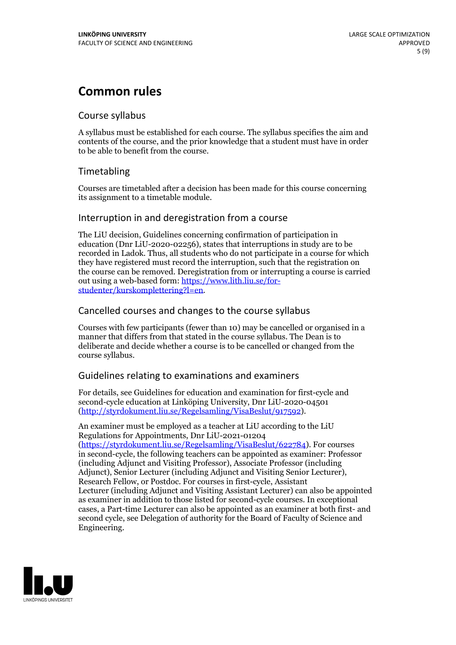# **Common rules**

## Course syllabus

A syllabus must be established for each course. The syllabus specifies the aim and contents of the course, and the prior knowledge that a student must have in order to be able to benefit from the course.

## Timetabling

Courses are timetabled after a decision has been made for this course concerning its assignment to a timetable module.

## Interruption in and deregistration from a course

The LiU decision, Guidelines concerning confirmation of participation in education (Dnr LiU-2020-02256), states that interruptions in study are to be recorded in Ladok. Thus, all students who do not participate in a course for which they have registered must record the interruption, such that the registration on the course can be removed. Deregistration from or interrupting a course is carried out using <sup>a</sup> web-based form: https://www.lith.liu.se/for- [studenter/kurskomplettering?l=en.](https://www.lith.liu.se/for-studenter/kurskomplettering?l=en)

## Cancelled courses and changes to the course syllabus

Courses with few participants (fewer than 10) may be cancelled or organised in a manner that differs from that stated in the course syllabus. The Dean is to deliberate and decide whether a course is to be cancelled or changed from the course syllabus.

## Guidelines relating to examinations and examiners

For details, see Guidelines for education and examination for first-cycle and second-cycle education at Linköping University, Dnr LiU-2020-04501 [\(http://styrdokument.liu.se/Regelsamling/VisaBeslut/917592\)](http://styrdokument.liu.se/Regelsamling/VisaBeslut/917592).

An examiner must be employed as a teacher at LiU according to the LiU Regulations for Appointments, Dnr LiU-2021-01204 [\(https://styrdokument.liu.se/Regelsamling/VisaBeslut/622784](https://styrdokument.liu.se/Regelsamling/VisaBeslut/622784)). For courses in second-cycle, the following teachers can be appointed as examiner: Professor (including Adjunct and Visiting Professor), Associate Professor (including Adjunct), Senior Lecturer (including Adjunct and Visiting Senior Lecturer), Research Fellow, or Postdoc. For courses in first-cycle, Assistant Lecturer (including Adjunct and Visiting Assistant Lecturer) can also be appointed as examiner in addition to those listed for second-cycle courses. In exceptional cases, a Part-time Lecturer can also be appointed as an examiner at both first- and second cycle, see Delegation of authority for the Board of Faculty of Science and Engineering.

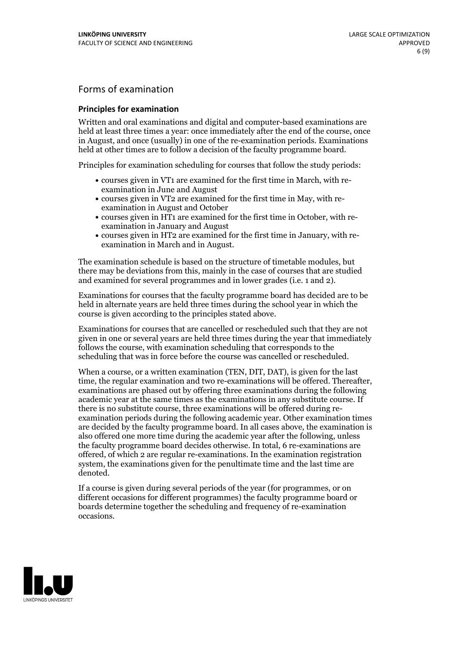## Forms of examination

#### **Principles for examination**

Written and oral examinations and digital and computer-based examinations are held at least three times a year: once immediately after the end of the course, once in August, and once (usually) in one of the re-examination periods. Examinations held at other times are to follow a decision of the faculty programme board.

Principles for examination scheduling for courses that follow the study periods:

- courses given in VT1 are examined for the first time in March, with re-examination in June and August
- courses given in VT2 are examined for the first time in May, with re-examination in August and October
- courses given in HT1 are examined for the first time in October, with re-examination in January and August
- courses given in HT2 are examined for the first time in January, with re-examination in March and in August.

The examination schedule is based on the structure of timetable modules, but there may be deviations from this, mainly in the case of courses that are studied and examined for several programmes and in lower grades (i.e. 1 and 2).

Examinations for courses that the faculty programme board has decided are to be held in alternate years are held three times during the school year in which the course is given according to the principles stated above.

Examinations for courses that are cancelled orrescheduled such that they are not given in one or several years are held three times during the year that immediately follows the course, with examination scheduling that corresponds to the scheduling that was in force before the course was cancelled or rescheduled.

When a course, or a written examination (TEN, DIT, DAT), is given for the last time, the regular examination and two re-examinations will be offered. Thereafter, examinations are phased out by offering three examinations during the following academic year at the same times as the examinations in any substitute course. If there is no substitute course, three examinations will be offered during re- examination periods during the following academic year. Other examination times are decided by the faculty programme board. In all cases above, the examination is also offered one more time during the academic year after the following, unless the faculty programme board decides otherwise. In total, 6 re-examinations are offered, of which 2 are regular re-examinations. In the examination registration system, the examinations given for the penultimate time and the last time are denoted.

If a course is given during several periods of the year (for programmes, or on different occasions for different programmes) the faculty programme board or boards determine together the scheduling and frequency of re-examination occasions.

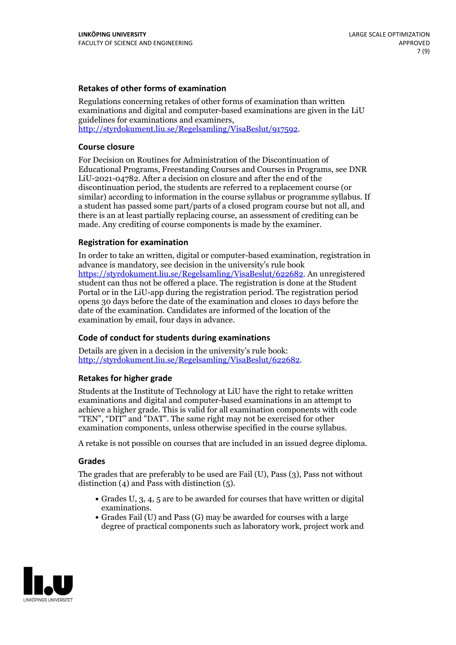### **Retakes of other forms of examination**

Regulations concerning retakes of other forms of examination than written examinations and digital and computer-based examinations are given in the LiU guidelines for examinations and examiners, [http://styrdokument.liu.se/Regelsamling/VisaBeslut/917592.](http://styrdokument.liu.se/Regelsamling/VisaBeslut/917592)

#### **Course closure**

For Decision on Routines for Administration of the Discontinuation of Educational Programs, Freestanding Courses and Courses in Programs, see DNR LiU-2021-04782. After a decision on closure and after the end of the discontinuation period, the students are referred to a replacement course (or similar) according to information in the course syllabus or programme syllabus. If a student has passed some part/parts of a closed program course but not all, and there is an at least partially replacing course, an assessment of crediting can be made. Any crediting of course components is made by the examiner.

### **Registration for examination**

In order to take an written, digital or computer-based examination, registration in advance is mandatory, see decision in the university's rule book [https://styrdokument.liu.se/Regelsamling/VisaBeslut/622682.](https://styrdokument.liu.se/Regelsamling/VisaBeslut/622682) An unregistered student can thus not be offered a place. The registration is done at the Student Portal or in the LiU-app during the registration period. The registration period opens 30 days before the date of the examination and closes 10 days before the date of the examination. Candidates are informed of the location of the examination by email, four days in advance.

## **Code of conduct for students during examinations**

Details are given in a decision in the university's rule book: <http://styrdokument.liu.se/Regelsamling/VisaBeslut/622682>.

#### **Retakes for higher grade**

Students at the Institute of Technology at LiU have the right to retake written examinations and digital and computer-based examinations in an attempt to achieve a higher grade. This is valid for all examination components with code "TEN", "DIT" and "DAT". The same right may not be exercised for other examination components, unless otherwise specified in the course syllabus.

A retake is not possible on courses that are included in an issued degree diploma.

#### **Grades**

The grades that are preferably to be used are Fail (U), Pass (3), Pass not without distinction  $(4)$  and Pass with distinction  $(5)$ .

- Grades U, 3, 4, 5 are to be awarded for courses that have written or digital examinations.<br>• Grades Fail (U) and Pass (G) may be awarded for courses with a large
- degree of practical components such as laboratory work, project work and

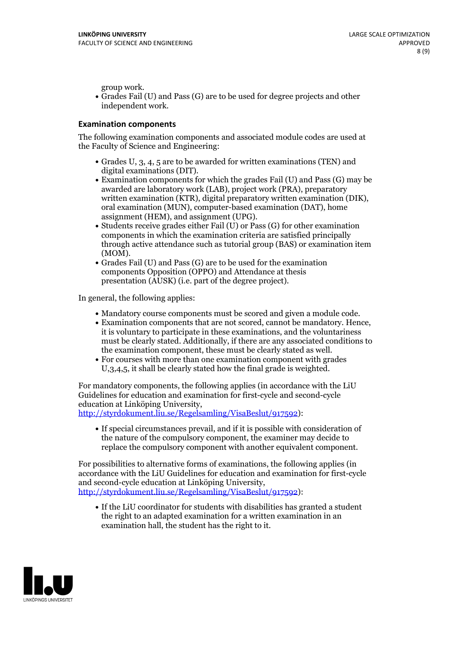group work.<br>• Grades Fail (U) and Pass (G) are to be used for degree projects and other independent work.

#### **Examination components**

The following examination components and associated module codes are used at the Faculty of Science and Engineering:

- Grades U, 3, 4, 5 are to be awarded for written examinations (TEN) and
- digital examinations (DIT).<br>• Examination components for which the grades Fail (U) and Pass (G) may be awarded are laboratory work (LAB), project work (PRA), preparatory written examination (KTR), digital preparatory written examination (DIK), oral examination (MUN), computer-based examination (DAT), home
- assignment (HEM), and assignment (UPG).<br>• Students receive grades either Fail (U) or Pass (G) for other examination components in which the examination criteria are satisfied principally through active attendance such as tutorial group (BAS) or examination item
- (MOM).<br>• Grades Fail (U) and Pass (G) are to be used for the examination components Opposition (OPPO) and Attendance at thesis presentation (AUSK) (i.e. part of the degree project).

In general, the following applies:

- 
- Mandatory course components must be scored and given <sup>a</sup> module code. Examination components that are not scored, cannot be mandatory. Hence, it is voluntary to participate in these examinations, and the voluntariness must be clearly stated. Additionally, if there are any associated conditions to
- the examination component, these must be clearly stated as well.<br>• For courses with more than one examination component with grades U,3,4,5, it shall be clearly stated how the final grade is weighted.

For mandatory components, the following applies (in accordance with the LiU Guidelines for education and examination for first-cycle and second-cycle education at Linköping University,<br>[http://styrdokument.liu.se/Regelsamling/VisaBeslut/917592\)](http://styrdokument.liu.se/Regelsamling/VisaBeslut/917592):

If special circumstances prevail, and if it is possible with consideration of the nature of the compulsory component, the examiner may decide to replace the compulsory component with another equivalent component.

For possibilities to alternative forms of examinations, the following applies (in accordance with the LiU Guidelines for education and examination for first-cycle [http://styrdokument.liu.se/Regelsamling/VisaBeslut/917592\)](http://styrdokument.liu.se/Regelsamling/VisaBeslut/917592):

If the LiU coordinator for students with disabilities has granted a student the right to an adapted examination for a written examination in an examination hall, the student has the right to it.